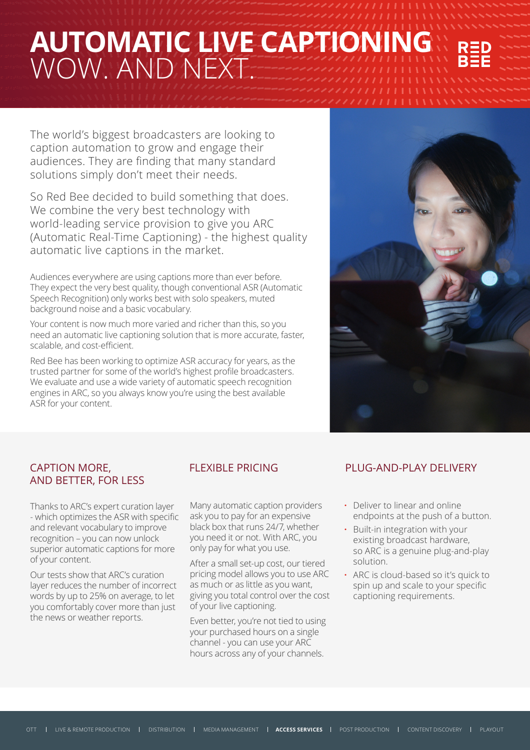# **AUTOMATIC LIVE CAPTION** WOW. AND NEXT.

The world's biggest broadcasters are looking to caption automation to grow and engage their audiences. They are finding that many standard solutions simply don't meet their needs.

So Red Bee decided to build something that does. We combine the very best technology with world-leading service provision to give you ARC (Automatic Real-Time Captioning) - the highest quality automatic live captions in the market.

Audiences everywhere are using captions more than ever before. They expect the very best quality, though conventional ASR (Automatic Speech Recognition) only works best with solo speakers, muted background noise and a basic vocabulary.

Your content is now much more varied and richer than this, so you need an automatic live captioning solution that is more accurate, faster, scalable, and cost-efficient.

Red Bee has been working to optimize ASR accuracy for years, as the trusted partner for some of the world's highest profile broadcasters. We evaluate and use a wide variety of automatic speech recognition engines in ARC, so you always know you're using the best available ASR for your content.



### CAPTION MORE, AND BETTER, FOR LESS

Thanks to ARC's expert curation layer - which optimizes the ASR with specific and relevant vocabulary to improve recognition – you can now unlock superior automatic captions for more of your content.

Our tests show that ARC's curation layer reduces the number of incorrect words by up to 25% on average, to let you comfortably cover more than just the news or weather reports.

Many automatic caption providers ask you to pay for an expensive black box that runs 24/7, whether you need it or not. With ARC, you only pay for what you use.

After a small set-up cost, our tiered pricing model allows you to use ARC as much or as little as you want, giving you total control over the cost of your live captioning.

Even better, you're not tied to using your purchased hours on a single channel - you can use your ARC hours across any of your channels.

## FLEXIBLE PRICING PLUG-AND-PLAY DELIVERY

- **·** Deliver to linear and online endpoints at the push of a button.
- **·** Built-in integration with your existing broadcast hardware, so ARC is a genuine plug-and-play solution.
- **·** ARC is cloud-based so it's quick to spin up and scale to your specific captioning requirements.